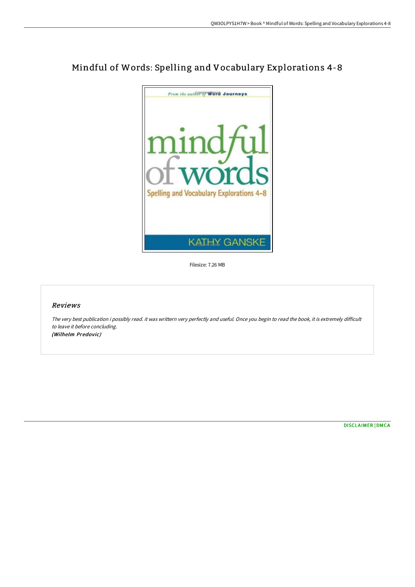

## Mindful of Words: Spelling and Vocabulary Explorations 4-8

Filesize: 7.26 MB

## Reviews

The very best publication i possibly read. it was writtern very perfectly and useful. Once you begin to read the book, it is extremely difficult to leave it before concluding. (Wilhelm Predovic)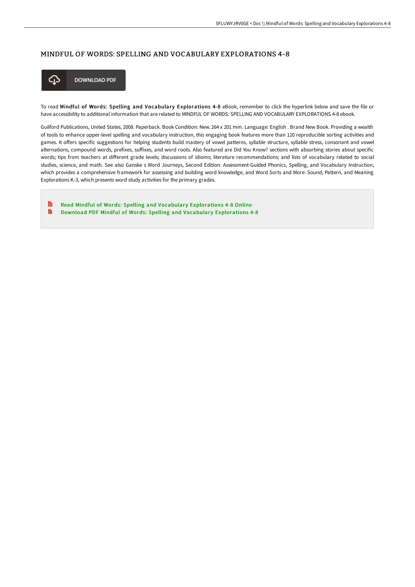## MINDFUL OF WORDS: SPELLING AND VOCABULARY EXPLORATIONS 4-8



**DOWNLOAD PDF** 

To read Mindful of Words: Spelling and Vocabulary Explorations 4-8 eBook, remember to click the hyperlink below and save the file or have accessibility to additional information that are related to MINDFUL OF WORDS: SPELLING AND VOCABULARY EXPLORATIONS 4-8 ebook.

Guilford Publications, United States, 2008. Paperback. Book Condition: New. 264 x 201 mm. Language: English . Brand New Book. Providing a wealth of tools to enhance upper-level spelling and vocabulary instruction, this engaging book features more than 120 reproducible sorting activities and games. It offers specific suggestions for helping students build mastery of vowel patterns, syllable structure, syllable stress, consonant and vowel alternations, compound words, prefixes, suffixes, and word roots. Also featured are Did You Know? sections with absorbing stories about specific words; tips from teachers at different grade levels; discussions of idioms; literature recommendations; and lists of vocabulary related to social studies, science, and math. See also Ganske s Word Journeys, Second Edition: Assessment-Guided Phonics, Spelling, and Vocabulary Instruction, which provides a comprehensive framework for assessing and building word knowledge, and Word Sorts and More: Sound, Pattern, and Meaning Explorations K-3, which presents word study activities for the primary grades.

D Read Mindful of Words: Spelling and Vocabulary [Explorations](http://techno-pub.tech/mindful-of-words-spelling-and-vocabulary-explora.html) 4-8 Online  $\blacksquare$ Download PDF Mindful of Words: Spelling and Vocabulary [Explorations](http://techno-pub.tech/mindful-of-words-spelling-and-vocabulary-explora.html) 4-8